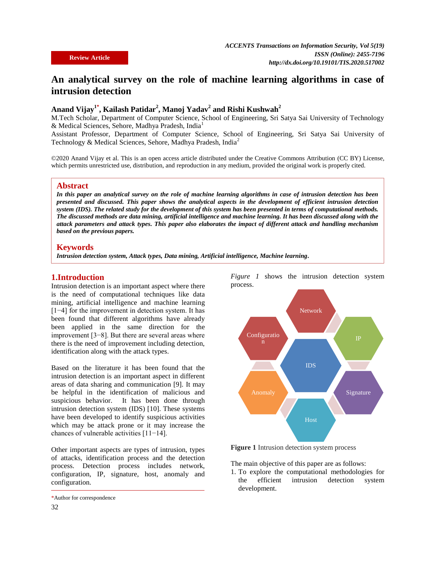# **An analytical survey on the role of machine learning algorithms in case of intrusion detection**

# **Anand Vijay1\* , Kailash Patidar<sup>2</sup> , Manoj Yadav<sup>2</sup> and Rishi Kushwah<sup>2</sup>**

M.Tech Scholar, Department of Computer Science, School of Engineering, Sri Satya Sai University of Technology & Medical Sciences, Sehore, Madhya Pradesh, India<sup>1</sup>

Assistant Professor, Department of Computer Science, School of Engineering, Sri Satya Sai University of Technology & Medical Sciences, Sehore, Madhya Pradesh, India<sup>2</sup>

©2020 Anand Vijay et al. This is an open access article distributed under the Creative Commons Attribution (CC BY) License, which permits unrestricted use, distribution, and reproduction in any medium, provided the original work is properly cited.

#### **Abstract**

*In this paper an analytical survey on the role of machine learning algorithms in case of intrusion detection has been presented and discussed. This paper shows the analytical aspects in the development of efficient intrusion detection system (IDS). The related study for the development of this system has been presented in terms of computational methods. The discussed methods are data mining, artificial intelligence and machine learning. It has been discussed along with the attack parameters and attack types. This paper also elaborates the impact of different attack and handling mechanism based on the previous papers.*

#### **Keywords**

*Intrusion detection system, Attack types, Data mining, Artificial intelligence, Machine learning.*

#### **1.Introduction**

Intrusion detection is an important aspect where there is the need of computational techniques like data mining, artificial intelligence and machine learning [1−4] for the improvement in detection system. It has been found that different algorithms have already been applied in the same direction for the improvement [3−8]. But there are several areas where there is the need of improvement including detection, identification along with the attack types.

Based on the literature it has been found that the intrusion detection is an important aspect in different areas of data sharing and communication [9]. It may be helpful in the identification of malicious and suspicious behavior. It has been done through intrusion detection system (IDS) [10]. These systems have been developed to identify suspicious activities which may be attack prone or it may increase the chances of vulnerable activities [11−14].

Other important aspects are types of intrusion, types of attacks, identification process and the detection process. Detection process includes network, configuration, IP, signature, host, anomaly and configuration.

*Figure 1* shows the intrusion detection system process.



**Figure 1** Intrusion detection system process

The main objective of this paper are as follows:

1. To explore the computational methodologies for the efficient intrusion detection system development.

<sup>\*</sup>Author for correspondence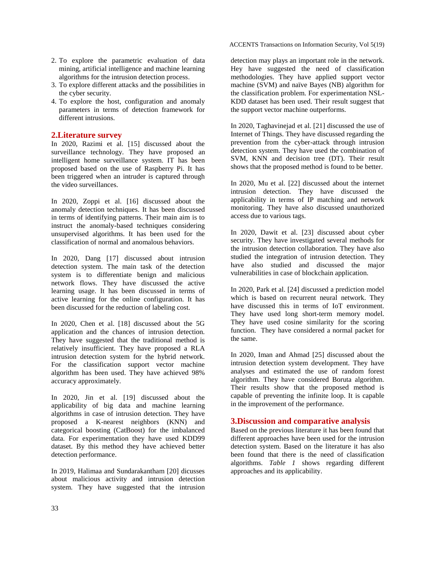- 2. To explore the parametric evaluation of data mining, artificial intelligence and machine learning algorithms for the intrusion detection process.
- 3. To explore different attacks and the possibilities in the cyber security.
- 4. To explore the host, configuration and anomaly parameters in terms of detection framework for different intrusions.

### **2.Literature survey**

In 2020, Razimi et al. [15] discussed about the surveillance technology. They have proposed an intelligent home surveillance system. IT has been proposed based on the use of Raspberry Pi. It has been triggered when an intruder is captured through the video surveillances.

In 2020, Zoppi et al. [16] discussed about the anomaly detection techniques. It has been discussed in terms of identifying patterns. Their main aim is to instruct the anomaly-based techniques considering unsupervised algorithms. It has been used for the classification of normal and anomalous behaviors.

In 2020, Dang [17] discussed about intrusion detection system. The main task of the detection system is to differentiate benign and malicious network flows. They have discussed the active learning usage. It has been discussed in terms of active learning for the online configuration. It has been discussed for the reduction of labeling cost.

In 2020, Chen et al. [18] discussed about the 5G application and the chances of intrusion detection. They have suggested that the traditional method is relatively insufficient. They have proposed a RLA intrusion detection system for the hybrid network. For the classification support vector machine algorithm has been used. They have achieved 98% accuracy approximately.

In 2020, Jin et al. [19] discussed about the applicability of big data and machine learning algorithms in case of intrusion detection. They have proposed a K-nearest neighbors (KNN) and categorical boosting (CatBoost) for the imbalanced data. For experimentation they have used KDD99 dataset. By this method they have achieved better detection performance.

In 2019, Halimaa and Sundarakantham [20] dicusses about malicious activity and intrusion detection system. They have suggested that the intrusion

detection may plays an important role in the network. Hey have suggested the need of classification methodologies. They have applied support vector machine (SVM) and naïve Bayes (NB) algorithm for the classification problem. For experimentation NSL-KDD dataset has been used. Their result suggest that the support vector machine outperforms.

In 2020, Taghavinejad et al. [21] discussed the use of Internet of Things. They have discussed regarding the prevention from the cyber-attack through intrusion detection system. They have used the combination of SVM, KNN and decision tree (DT). Their result shows that the proposed method is found to be better.

In 2020, Mu et al. [22] discussed about the internet intrusion detection. They have discussed the applicability in terms of IP matching and network monitoring. They have also discussed unauthorized access due to various tags.

In 2020, Dawit et al. [23] discussed about cyber security. They have investigated several methods for the intrusion detection collaboration. They have also studied the integration of intrusion detection. They have also studied and discussed the major vulnerabilities in case of blockchain application.

In 2020, Park et al. [24] discussed a prediction model which is based on recurrent neural network. They have discussed this in terms of IoT environment. They have used long short-term memory model. They have used cosine similarity for the scoring function. They have considered a normal packet for the same.

In 2020, Iman and Ahmad [25] discussed about the intrusion detection system development. They have analyses and estimated the use of random forest algorithm. They have considered Boruta algorithm. Their results show that the proposed method is capable of preventing the infinite loop. It is capable in the improvement of the performance.

## **3.Discussion and comparative analysis**

Based on the previous literature it has been found that different approaches have been used for the intrusion detection system. Based on the literature it has also been found that there is the need of classification algorithms. *Table 1* shows regarding different approaches and its applicability.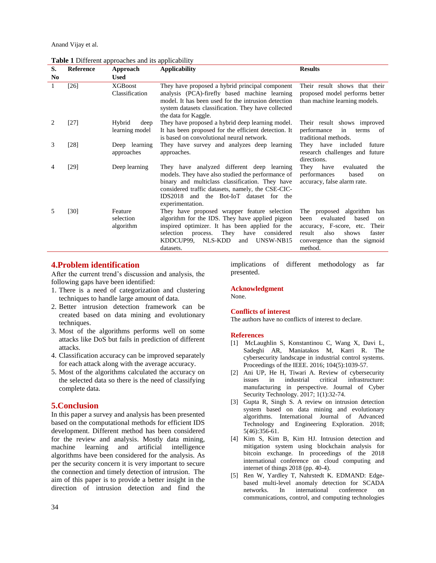Anand Vijay et al.

**Table 1** Different approaches and its applicability

| S.             | Reference | Approach                          | <b>Applicability</b>                                                                                                                                                                                                                                                   | <b>Results</b>                                                                                                                                                                           |
|----------------|-----------|-----------------------------------|------------------------------------------------------------------------------------------------------------------------------------------------------------------------------------------------------------------------------------------------------------------------|------------------------------------------------------------------------------------------------------------------------------------------------------------------------------------------|
| N <sub>0</sub> |           | <b>Used</b>                       |                                                                                                                                                                                                                                                                        |                                                                                                                                                                                          |
| 1              | [26]      | <b>XGBoost</b><br>Classification  | They have proposed a hybrid principal component<br>analysis (PCA)-firefly based machine learning<br>model. It has been used for the intrusion detection<br>system datasets classification. They have collected<br>the data for Kaggle.                                 | Their result shows that their<br>proposed model performs better<br>than machine learning models.                                                                                         |
| 2              | [27]      | Hybrid<br>deep<br>learning model  | They have proposed a hybrid deep learning model.<br>It has been proposed for the efficient detection. It<br>is based on convolutional neural network.                                                                                                                  | Their result shows improved<br>performance<br>in<br>terms<br>of<br>traditional methods.                                                                                                  |
| 3              | [28]      | Deep learning<br>approaches       | They have survey and analyzes deep learning<br>approaches.                                                                                                                                                                                                             | They have included<br>future<br>research challenges and future<br>directions.                                                                                                            |
| 4              | $[29]$    | Deep learning                     | They have analyzed different deep learning<br>models. They have also studied the performance of<br>binary and multiclass classification. They have<br>considered traffic datasets, namely, the CSE-CIC-<br>IDS2018 and the Bot-IoT dataset for the<br>experimentation. | They<br>have<br>evaluated<br>the<br>performances<br>based<br>on<br>accuracy, false alarm rate.                                                                                           |
| 5              | [30]      | Feature<br>selection<br>algorithm | They have proposed wrapper feature selection<br>algorithm for the IDS. They have applied pigeon<br>inspired optimizer. It has been applied for the<br>They<br>have<br>considered<br>selection process.<br>NLS-KDD<br>KDDCUP99.<br>UNSW-NB15<br>and<br>datasets.        | proposed algorithm<br>The<br>has<br>evaluated<br>based<br>been<br>on<br>accuracy, F-score, etc.<br>Their<br>shows<br>result<br>also<br>faster<br>convergence than the sigmoid<br>method. |

## **4.Problem identification**

After the current trend's discussion and analysis, the following gaps have been identified:

- 1. There is a need of categorization and clustering techniques to handle large amount of data.
- 2. Better intrusion detection framework can be created based on data mining and evolutionary techniques.
- 3. Most of the algorithms performs well on some attacks like DoS but fails in prediction of different attacks.
- 4. Classification accuracy can be improved separately for each attack along with the average accuracy.
- 5. Most of the algorithms calculated the accuracy on the selected data so there is the need of classifying complete data.

## **5.Conclusion**

In this paper a survey and analysis has been presented based on the computational methods for efficient IDS development. Different method has been considered for the review and analysis. Mostly data mining, machine learning and artificial intelligence algorithms have been considered for the analysis. As per the security concern it is very important to secure the connection and timely detection of intrusion. The aim of this paper is to provide a better insight in the direction of intrusion detection and find the implications of different methodology as far presented.

### **Acknowledgment**

None.

#### **Conflicts of interest**

The authors have no conflicts of interest to declare.

#### **References**

- [1] McLaughlin S, Konstantinou C, Wang X, Davi L, Sadeghi AR, Maniatakos M, Karri R. The cybersecurity landscape in industrial control systems. Proceedings of the IEEE. 2016; 104(5):1039-57.
- [2] Ani UP, He H, Tiwari A. Review of cybersecurity issues in industrial critical infrastructure: manufacturing in perspective. Journal of Cyber Security Technology. 2017; 1(1):32-74.
- [3] Gupta R, Singh S. A review on intrusion detection system based on data mining and evolutionary algorithms. International Journal of Advanced Technology and Engineering Exploration. 2018; 5(46):356-61.
- [4] Kim S, Kim B, Kim HJ. Intrusion detection and mitigation system using blockchain analysis for bitcoin exchange. In proceedings of the 2018 international conference on cloud computing and internet of things 2018 (pp. 40-4).
- [5] Ren W, Yardley T, Nahrstedt K. EDMAND: Edgebased multi-level anomaly detection for SCADA networks. In international conference on communications, control, and computing technologies